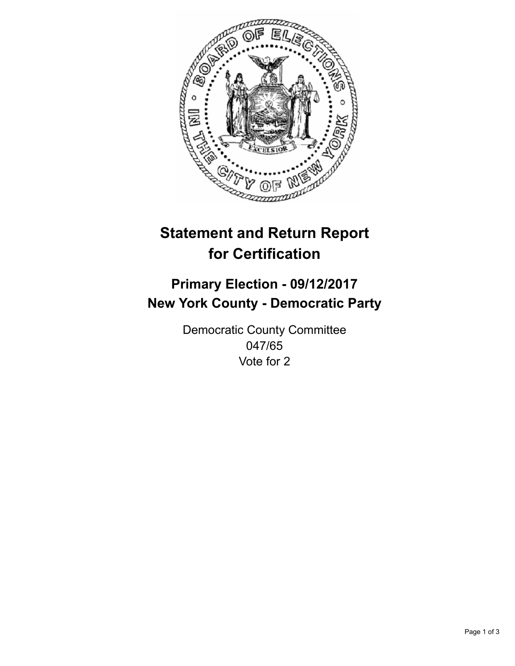

## **Statement and Return Report for Certification**

## **Primary Election - 09/12/2017 New York County - Democratic Party**

Democratic County Committee 047/65 Vote for 2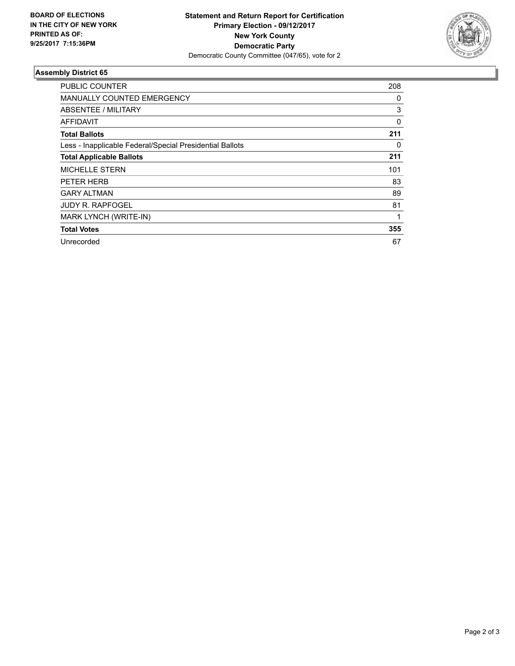

## **Assembly District 65**

| <b>PUBLIC COUNTER</b>                                    | 208 |
|----------------------------------------------------------|-----|
| MANUALLY COUNTED EMERGENCY                               | 0   |
| ABSENTEE / MILITARY                                      | 3   |
| <b>AFFIDAVIT</b>                                         | 0   |
| <b>Total Ballots</b>                                     | 211 |
| Less - Inapplicable Federal/Special Presidential Ballots | 0   |
| <b>Total Applicable Ballots</b>                          | 211 |
| <b>MICHELLE STERN</b>                                    | 101 |
| PETER HERB                                               | 83  |
| <b>GARY ALTMAN</b>                                       | 89  |
| <b>JUDY R. RAPFOGEL</b>                                  | 81  |
| MARK LYNCH (WRITE-IN)                                    | 1   |
| <b>Total Votes</b>                                       | 355 |
| Unrecorded                                               | 67  |